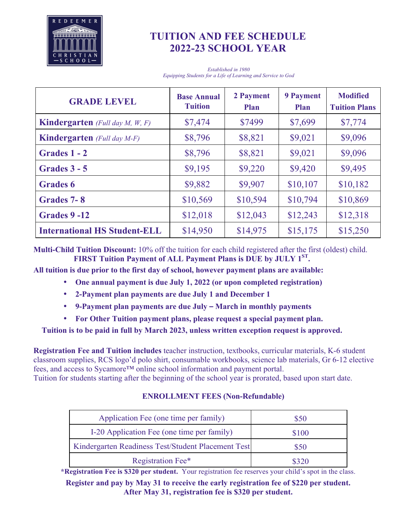

# **TUITION AND FEE SCHEDULE 2022-23 SCHOOL YEAR**

*Established in 1980 Equipping Students for a Life of Learning and Service to God*

| <b>GRADE LEVEL</b>                              | <b>Base Annual</b><br><b>Tuition</b> | 2 Payment<br><b>Plan</b> | <b>9 Payment</b><br><b>Plan</b> | <b>Modified</b><br><b>Tuition Plans</b> |
|-------------------------------------------------|--------------------------------------|--------------------------|---------------------------------|-----------------------------------------|
| <b>Kindergarten</b> (Full day $M$ , $W$ , $F$ ) | \$7,474                              | \$7499                   | \$7,699                         | \$7,774                                 |
| <b>Kindergarten</b> (Full day M-F)              | \$8,796                              | \$8,821                  | \$9,021                         | \$9,096                                 |
| Grades 1 - 2                                    | \$8,796                              | \$8,821                  | \$9,021                         | \$9,096                                 |
| Grades $3 - 5$                                  | \$9,195                              | \$9,220                  | \$9,420                         | \$9,495                                 |
| <b>Grades 6</b>                                 | \$9,882                              | \$9,907                  | \$10,107                        | \$10,182                                |
| Grades 7-8                                      | \$10,569                             | \$10,594                 | \$10,794                        | \$10,869                                |
| Grades 9-12                                     | \$12,018                             | \$12,043                 | \$12,243                        | \$12,318                                |
| <b>International HS Student-ELL</b>             | \$14,950                             | \$14,975                 | \$15,175                        | \$15,250                                |

**Multi-Child Tuition Discount:** 10% off the tuition for each child registered after the first (oldest) child. **FIRST Tuition Payment of ALL Payment Plans is DUE by JULY 1ST.**

**All tuition is due prior to the first day of school, however payment plans are available:**

- **One annual payment is due July 1, 2022 (or upon completed registration)**
- **2-Payment plan payments are due July 1 and December 1**
- **9-Payment plan payments are due July – March in monthly payments**
- **For Other Tuition payment plans, please request a special payment plan.**

## **Tuition is to be paid in full by March 2023, unless written exception request is approved.**

**Registration Fee and Tuition includes** teacher instruction, textbooks, curricular materials, K-6 student classroom supplies, RCS logo'd polo shirt, consumable workbooks, science lab materials, Gr 6-12 elective fees, and access to Sycamore™ online school information and payment portal.

Tuition for students starting after the beginning of the school year is prorated, based upon start date.

### **ENROLLMENT FEES (Non-Refundable)**

| Application Fee (one time per family)              | \$50  |
|----------------------------------------------------|-------|
| I-20 Application Fee (one time per family)         | \$100 |
| Kindergarten Readiness Test/Student Placement Test | \$50  |
| Registration Fee*                                  |       |

**\*Registration Fee is \$320 per student.** Your registration fee reserves your child's spot in the class.

**Register and pay by May 31 to receive the early registration fee of \$220 per student. After May 31, registration fee is \$320 per student.**